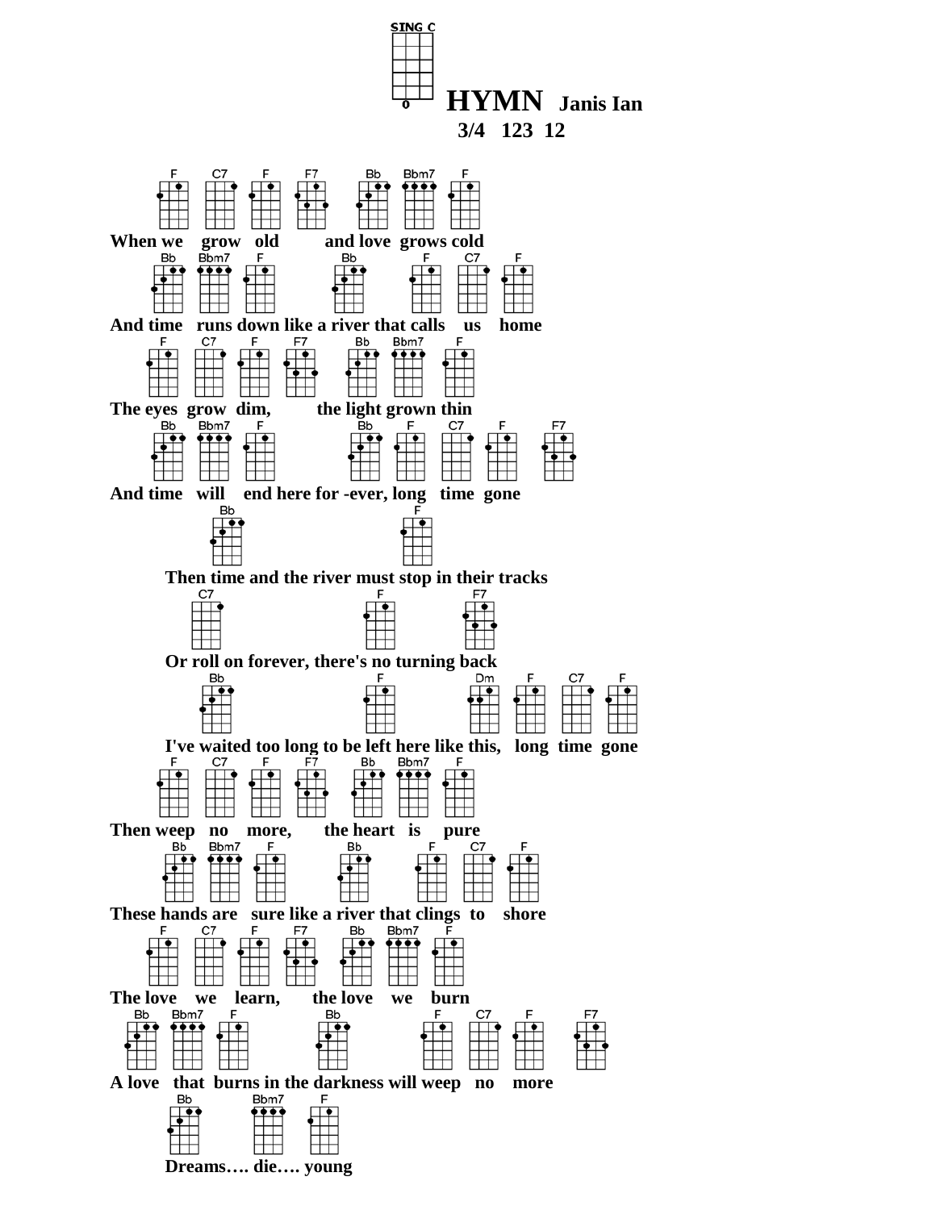